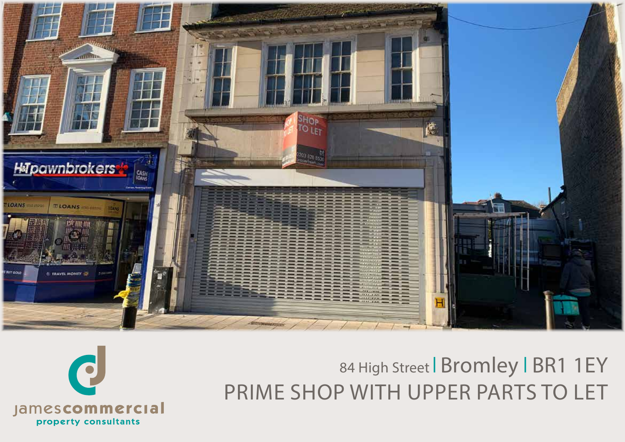

# 84 High Street | Bromley | BR1 1EY PRIME SHOP WITH UPPER PARTS TO LET